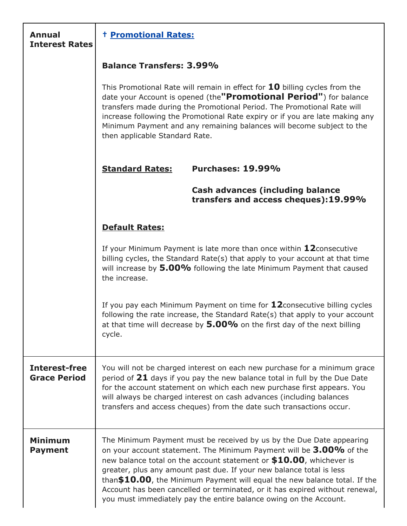| <b>Annual</b><br><b>Interest Rates</b>      | <b>t Promotional Rates:</b>                                                                                                                                                                                                                                                                                                                                                                                                                                                                                                       |
|---------------------------------------------|-----------------------------------------------------------------------------------------------------------------------------------------------------------------------------------------------------------------------------------------------------------------------------------------------------------------------------------------------------------------------------------------------------------------------------------------------------------------------------------------------------------------------------------|
|                                             | <b>Balance Transfers: 3.99%</b>                                                                                                                                                                                                                                                                                                                                                                                                                                                                                                   |
|                                             | This Promotional Rate will remain in effect for $10$ billing cycles from the<br>date your Account is opened (the"Promotional Period") for balance<br>transfers made during the Promotional Period. The Promotional Rate will<br>increase following the Promotional Rate expiry or if you are late making any<br>Minimum Payment and any remaining balances will become subject to the<br>then applicable Standard Rate.                                                                                                           |
|                                             | Purchases: 19.99%<br><b>Standard Rates:</b>                                                                                                                                                                                                                                                                                                                                                                                                                                                                                       |
|                                             | <b>Cash advances (including balance</b><br>transfers and access cheques):19.99%                                                                                                                                                                                                                                                                                                                                                                                                                                                   |
|                                             | <b>Default Rates:</b>                                                                                                                                                                                                                                                                                                                                                                                                                                                                                                             |
|                                             | If your Minimum Payment is late more than once within $12$ consecutive<br>billing cycles, the Standard Rate(s) that apply to your account at that time<br>will increase by 5.00% following the late Minimum Payment that caused<br>the increase.                                                                                                                                                                                                                                                                                  |
|                                             | If you pay each Minimum Payment on time for $12$ consecutive billing cycles<br>following the rate increase, the Standard Rate(s) that apply to your account<br>at that time will decrease by $5.00\%$ on the first day of the next billing<br>cycle.                                                                                                                                                                                                                                                                              |
| <b>Interest-free</b><br><b>Grace Period</b> | You will not be charged interest on each new purchase for a minimum grace<br>period of $21$ days if you pay the new balance total in full by the Due Date<br>for the account statement on which each new purchase first appears. You<br>will always be charged interest on cash advances (including balances<br>transfers and access cheques) from the date such transactions occur.                                                                                                                                              |
| <b>Minimum</b><br><b>Payment</b>            | The Minimum Payment must be received by us by the Due Date appearing<br>on your account statement. The Minimum Payment will be 3.00% of the<br>new balance total on the account statement or $$10.00$ , whichever is<br>greater, plus any amount past due. If your new balance total is less<br>than $$10.00$ , the Minimum Payment will equal the new balance total. If the<br>Account has been cancelled or terminated, or it has expired without renewal,<br>you must immediately pay the entire balance owing on the Account. |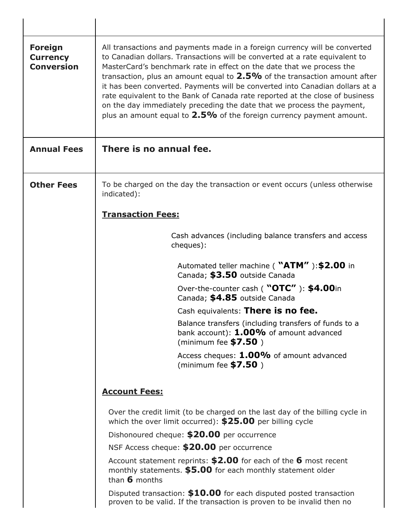| <b>Foreign</b><br><b>Currency</b><br><b>Conversion</b> | All transactions and payments made in a foreign currency will be converted<br>to Canadian dollars. Transactions will be converted at a rate equivalent to<br>MasterCard's benchmark rate in effect on the date that we process the<br>transaction, plus an amount equal to $2.5\%$ of the transaction amount after<br>it has been converted. Payments will be converted into Canadian dollars at a<br>rate equivalent to the Bank of Canada rate reported at the close of business<br>on the day immediately preceding the date that we process the payment,<br>plus an amount equal to $2.5\%$ of the foreign currency payment amount. |
|--------------------------------------------------------|-----------------------------------------------------------------------------------------------------------------------------------------------------------------------------------------------------------------------------------------------------------------------------------------------------------------------------------------------------------------------------------------------------------------------------------------------------------------------------------------------------------------------------------------------------------------------------------------------------------------------------------------|
| <b>Annual Fees</b>                                     | There is no annual fee.                                                                                                                                                                                                                                                                                                                                                                                                                                                                                                                                                                                                                 |
| <b>Other Fees</b>                                      | To be charged on the day the transaction or event occurs (unless otherwise<br>indicated):                                                                                                                                                                                                                                                                                                                                                                                                                                                                                                                                               |
|                                                        | <b>Transaction Fees:</b>                                                                                                                                                                                                                                                                                                                                                                                                                                                                                                                                                                                                                |
|                                                        | Cash advances (including balance transfers and access<br>cheques):                                                                                                                                                                                                                                                                                                                                                                                                                                                                                                                                                                      |
|                                                        | Automated teller machine ( "ATM" ): \$2.00 in<br>Canada; \$3.50 outside Canada                                                                                                                                                                                                                                                                                                                                                                                                                                                                                                                                                          |
|                                                        | Over-the-counter cash ( "OTC" ): \$4.00in<br>Canada; \$4.85 outside Canada                                                                                                                                                                                                                                                                                                                                                                                                                                                                                                                                                              |
|                                                        | Cash equivalents: There is no fee.                                                                                                                                                                                                                                                                                                                                                                                                                                                                                                                                                                                                      |
|                                                        | Balance transfers (including transfers of funds to a<br>bank account): $1.00\%$ of amount advanced<br>(minimum fee $$7.50$ )                                                                                                                                                                                                                                                                                                                                                                                                                                                                                                            |
|                                                        | Access cheques: 1.00% of amount advanced<br>(minimum fee $$7.50$ )                                                                                                                                                                                                                                                                                                                                                                                                                                                                                                                                                                      |
|                                                        | <b>Account Fees:</b>                                                                                                                                                                                                                                                                                                                                                                                                                                                                                                                                                                                                                    |
|                                                        | Over the credit limit (to be charged on the last day of the billing cycle in<br>which the over limit occurred): $$25.00$ per billing cycle                                                                                                                                                                                                                                                                                                                                                                                                                                                                                              |
|                                                        | Dishonoured cheque: \$20.00 per occurrence                                                                                                                                                                                                                                                                                                                                                                                                                                                                                                                                                                                              |
|                                                        | NSF Access cheque: \$20.00 per occurrence                                                                                                                                                                                                                                                                                                                                                                                                                                                                                                                                                                                               |
|                                                        | Account statement reprints: $$2.00$ for each of the 6 most recent<br>monthly statements. \$5.00 for each monthly statement older<br>than $6$ months                                                                                                                                                                                                                                                                                                                                                                                                                                                                                     |
|                                                        | Disputed transaction: \$10.00 for each disputed posted transaction<br>proven to be valid. If the transaction is proven to be invalid then no                                                                                                                                                                                                                                                                                                                                                                                                                                                                                            |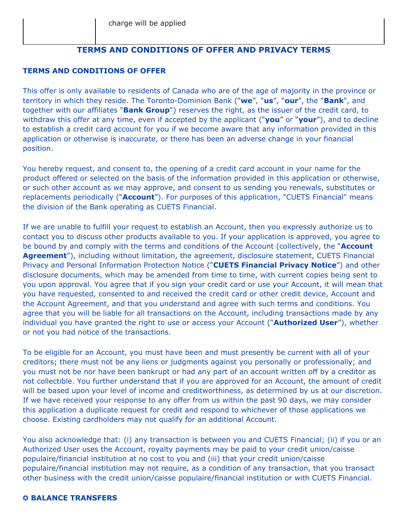### **TERMS AND CONDITIONS OF OFFER AND PRIVACY TERMS**

#### **TERMS AND CONDITIONS OF OFFER**

This offer is only available to residents of Canada who are of the age of majority in the province or territory in which they reside. The Toronto-Dominion Bank ("**we**", "**us**", "**our**", the "**Bank**", and together with our affiliates "**Bank Group**") reserves the right, as the issuer of the credit card, to withdraw this offer at any time, even if accepted by the applicant ("**you**" or "**your**"), and to decline to establish a credit card account for you if we become aware that any information provided in this application or otherwise is inaccurate, or there has been an adverse change in your financial position.

You hereby request, and consent to, the opening of a credit card account in your name for the product offered or selected on the basis of the information provided in this application or otherwise, or such other account as we may approve, and consent to us sending you renewals, substitutes or replacements periodically ("**Account**"). For purposes of this application, "CUETS Financial" means the division of the Bank operating as CUETS Financial.

If we are unable to fulfill your request to establish an Account, then you expressly authorize us to contact you to discuss other products available to you. If your application is approved, you agree to be bound by and comply with the terms and conditions of the Account (collectively, the "**Account Agreement**"), including without limitation, the agreement, disclosure statement, CUETS Financial Privacy and Personal Information Protection Notice ("**CUETS Financial Privacy Notice**") and other disclosure documents, which may be amended from time to time, with current copies being sent to you upon approval. You agree that if you sign your credit card or use your Account, it will mean that you have requested, consented to and received the credit card or other credit device, Account and the Account Agreement, and that you understand and agree with such terms and conditions. You agree that you will be liable for all transactions on the Account, including transactions made by any individual you have granted the right to use or access your Account ("**Authorized User**"), whether or not you had notice of the transactions.

To be eligible for an Account, you must have been and must presently be current with all of your creditors; there must not be any liens or judgments against you personally or professionally; and you must not be nor have been bankrupt or had any part of an account written off by a creditor as not collectible. You further understand that if you are approved for an Account, the amount of credit will be based upon your level of income and creditworthiness, as determined by us at our discretion. If we have received your response to any offer from us within the past 90 days, we may consider this application a duplicate request for credit and respond to whichever of those applications we choose. Existing cardholders may not qualify for an additional Account.

You also acknowledge that: (i) any transaction is between you and CUETS Financial; (ii) if you or an Authorized User uses the Account, royalty payments may be paid to your credit union/caisse populaire/financial institution at no cost to you and (iii) that your credit union/caisse populaire/financial institution may not require, as a condition of any transaction, that you transact other business with the credit union/caisse populaire/financial institution or with CUETS Financial.

#### ✪ **BALANCE TRANSFERS**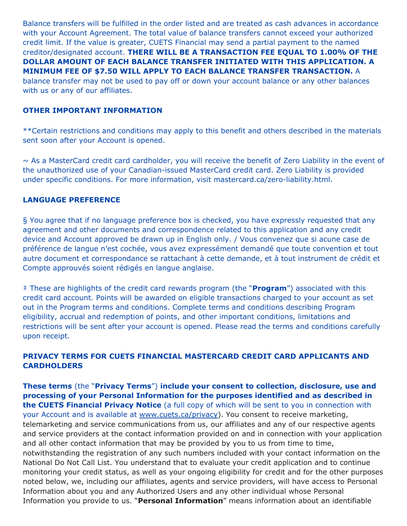Balance transfers will be fulfilled in the order listed and are treated as cash advances in accordance with your Account Agreement. The total value of balance transfers cannot exceed your authorized credit limit. If the value is greater, CUETS Financial may send a partial payment to the named creditor/designated account. **THERE WILL BE A TRANSACTION FEE EQUAL TO 1.00% OF THE DOLLAR AMOUNT OF EACH BALANCE TRANSFER INITIATED WITH THIS APPLICATION. A MINIMUM FEE OF \$7.50 WILL APPLY TO EACH BALANCE TRANSFER TRANSACTION.** A balance transfer may not be used to pay off or down your account balance or any other balances with us or any of our affiliates.

#### **OTHER IMPORTANT INFORMATION**

\*\*Certain restrictions and conditions may apply to this benefit and others described in the materials sent soon after your Account is opened.

~ As a MasterCard credit card cardholder, you will receive the benefit of Zero Liability in the event of the unauthorized use of your Canadian-issued MasterCard credit card. Zero Liability is provided under specific conditions. For more information, visit mastercard.ca/zero-liability.html.

#### **LANGUAGE PREFERENCE**

§ You agree that if no language preference box is checked, you have expressly requested that any agreement and other documents and correspondence related to this application and any credit device and Account approved be drawn up in English only. / Vous convenez que si acune case de préférence de langue n'est cochée, vous avez expressément demandé que toute convention et tout autre document et correspondance se rattachant à cette demande, et à tout instrument de crédit et Compte approuvés soient rédigés en langue anglaise.

‡ These are highlights of the credit card rewards program (the "**Program**") associated with this credit card account. Points will be awarded on eligible transactions charged to your account as set out in the Program terms and conditions. Complete terms and conditions describing Program eligibility, accrual and redemption of points, and other important conditions, limitations and restrictions will be sent after your account is opened. Please read the terms and conditions carefully upon receipt.

### **PRIVACY TERMS FOR CUETS FINANCIAL MASTERCARD CREDIT CARD APPLICANTS AND CARDHOLDERS**

**These terms** (the "**Privacy Terms**") **include your consent to collection, disclosure, use and processing of your Personal Information for the purposes identified and as described in the CUETS Financial Privacy Notice** (a full copy of which will be sent to you in connection with your Account and is available at www.cuets.ca/privacy). You consent to receive marketing, telemarketing and service communications from us, our affiliates and any of our respective agents and service providers at the contact information provided on and in connection with your application and all other contact information that may be provided by you to us from time to time, notwithstanding the registration of any such numbers included with your contact information on the National Do Not Call List. You understand that to evaluate your credit application and to continue monitoring your credit status, as well as your ongoing eligibility for credit and for the other purposes noted below, we, including our affiliates, agents and service providers, will have access to Personal Information about you and any Authorized Users and any other individual whose Personal Information you provide to us. "**Personal Information**" means information about an identifiable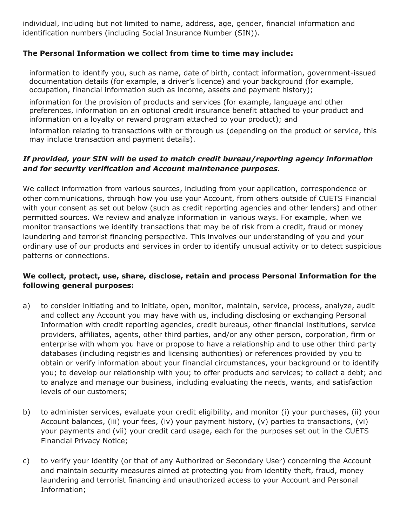individual, including but not limited to name, address, age, gender, financial information and identification numbers (including Social Insurance Number (SIN)).

### **The Personal Information we collect from time to time may include:**

information to identify you, such as name, date of birth, contact information, government-issued documentation details (for example, a driver's licence) and your background (for example, occupation, financial information such as income, assets and payment history);

information for the provision of products and services (for example, language and other preferences, information on an optional credit insurance benefit attached to your product and information on a loyalty or reward program attached to your product); and

information relating to transactions with or through us (depending on the product or service, this may include transaction and payment details).

### *If provided, your SIN will be used to match credit bureau/reporting agency information and for security verification and Account maintenance purposes.*

We collect information from various sources, including from your application, correspondence or other communications, through how you use your Account, from others outside of CUETS Financial with your consent as set out below (such as credit reporting agencies and other lenders) and other permitted sources. We review and analyze information in various ways. For example, when we monitor transactions we identify transactions that may be of risk from a credit, fraud or money laundering and terrorist financing perspective. This involves our understanding of you and your ordinary use of our products and services in order to identify unusual activity or to detect suspicious patterns or connections.

### **We collect, protect, use, share, disclose, retain and process Personal Information for the following general purposes:**

- a) to consider initiating and to initiate, open, monitor, maintain, service, process, analyze, audit and collect any Account you may have with us, including disclosing or exchanging Personal Information with credit reporting agencies, credit bureaus, other financial institutions, service providers, affiliates, agents, other third parties, and/or any other person, corporation, firm or enterprise with whom you have or propose to have a relationship and to use other third party databases (including registries and licensing authorities) or references provided by you to obtain or verify information about your financial circumstances, your background or to identify you; to develop our relationship with you; to offer products and services; to collect a debt; and to analyze and manage our business, including evaluating the needs, wants, and satisfaction levels of our customers;
- b) to administer services, evaluate your credit eligibility, and monitor (i) your purchases, (ii) your Account balances, (iii) your fees, (iv) your payment history, (v) parties to transactions, (vi) your payments and (vii) your credit card usage, each for the purposes set out in the CUETS Financial Privacy Notice;
- c) to verify your identity (or that of any Authorized or Secondary User) concerning the Account and maintain security measures aimed at protecting you from identity theft, fraud, money laundering and terrorist financing and unauthorized access to your Account and Personal Information;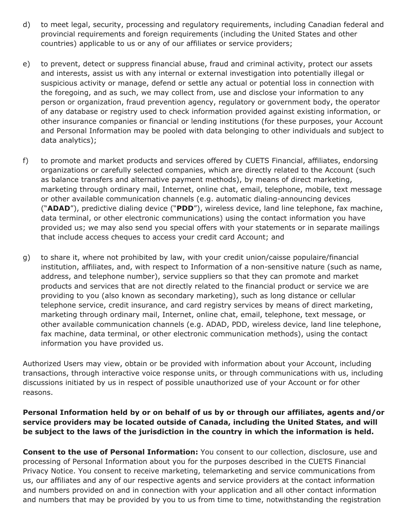- d) to meet legal, security, processing and regulatory requirements, including Canadian federal and provincial requirements and foreign requirements (including the United States and other countries) applicable to us or any of our affiliates or service providers;
- e) to prevent, detect or suppress financial abuse, fraud and criminal activity, protect our assets and interests, assist us with any internal or external investigation into potentially illegal or suspicious activity or manage, defend or settle any actual or potential loss in connection with the foregoing, and as such, we may collect from, use and disclose your information to any person or organization, fraud prevention agency, regulatory or government body, the operator of any database or registry used to check information provided against existing information, or other insurance companies or financial or lending institutions (for these purposes, your Account and Personal Information may be pooled with data belonging to other individuals and subject to data analytics);
- f) to promote and market products and services offered by CUETS Financial, affiliates, endorsing organizations or carefully selected companies, which are directly related to the Account (such as balance transfers and alternative payment methods), by means of direct marketing, marketing through ordinary mail, Internet, online chat, email, telephone, mobile, text message or other available communication channels (e.g. automatic dialing-announcing devices ("**ADAD**"), predictive dialing device ("**PDD**"), wireless device, land line telephone, fax machine, data terminal, or other electronic communications) using the contact information you have provided us; we may also send you special offers with your statements or in separate mailings that include access cheques to access your credit card Account; and
- g) to share it, where not prohibited by law, with your credit union/caisse populaire/financial institution, affiliates, and, with respect to Information of a non-sensitive nature (such as name, address, and telephone number), service suppliers so that they can promote and market products and services that are not directly related to the financial product or service we are providing to you (also known as secondary marketing), such as long distance or cellular telephone service, credit insurance, and card registry services by means of direct marketing, marketing through ordinary mail, Internet, online chat, email, telephone, text message, or other available communication channels (e.g. ADAD, PDD, wireless device, land line telephone, fax machine, data terminal, or other electronic communication methods), using the contact information you have provided us.

Authorized Users may view, obtain or be provided with information about your Account, including transactions, through interactive voice response units, or through communications with us, including discussions initiated by us in respect of possible unauthorized use of your Account or for other reasons.

## **Personal Information held by or on behalf of us by or through our affiliates, agents and/or service providers may be located outside of Canada, including the United States, and will be subject to the laws of the jurisdiction in the country in which the information is held.**

**Consent to the use of Personal Information:** You consent to our collection, disclosure, use and processing of Personal Information about you for the purposes described in the CUETS Financial Privacy Notice. You consent to receive marketing, telemarketing and service communications from us, our affiliates and any of our respective agents and service providers at the contact information and numbers provided on and in connection with your application and all other contact information and numbers that may be provided by you to us from time to time, notwithstanding the registration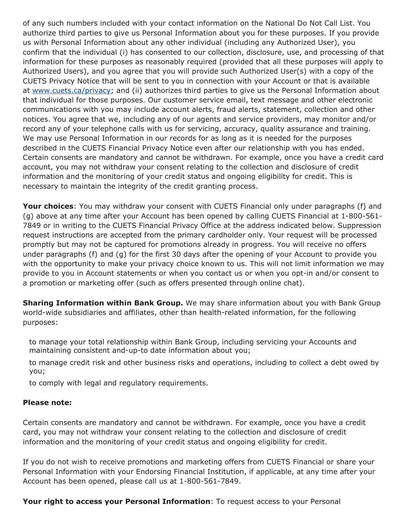of any such numbers included with your contact information on the National Do Not Call List. You authorize third parties to give us Personal Information about you for these purposes. If you provide us with Personal Information about any other individual (including any Authorized User), you confirm that the individual (i) has consented to our collection, disclosure, use, and processing of that information for these purposes as reasonably required (provided that all these purposes will apply to Authorized Users), and you agree that you will provide such Authorized User(s) with a copy of the CUETS Privacy Notice that will be sent to you in connection with your Account or that is available at www.cuets.ca/privacy; and (ii) authorizes third parties to give us the Personal Information about that individual for those purposes. Our customer service email, text message and other electronic communications with you may include account alerts, fraud alerts, statement, collection and other notices. You agree that we, including any of our agents and service providers, may monitor and/or record any of your telephone calls with us for servicing, accuracy, quality assurance and training. We may use Personal Information in our records for as long as it is needed for the purposes described in the CUETS Financial Privacy Notice even after our relationship with you has ended. Certain consents are mandatory and cannot be withdrawn. For example, once you have a credit card account, you may not withdraw your consent relating to the collection and disclosure of credit information and the monitoring of your credit status and ongoing eligibility for credit. This is necessary to maintain the integrity of the credit granting process.

**Your choices**: You may withdraw your consent with CUETS Financial only under paragraphs (f) and (g) above at any time after your Account has been opened by calling CUETS Financial at 1-800-561- 7849 or in writing to the CUETS Financial Privacy Office at the address indicated below. Suppression request instructions are accepted from the primary cardholder only. Your request will be processed promptly but may not be captured for promotions already in progress. You will receive no offers under paragraphs (f) and (g) for the first 30 days after the opening of your Account to provide you with the opportunity to make your privacy choice known to us. This will not limit information we may provide to you in Account statements or when you contact us or when you opt-in and/or consent to a promotion or marketing offer (such as offers presented through online chat).

**Sharing Information within Bank Group.** We may share information about you with Bank Group world-wide subsidiaries and affiliates, other than health-related information, for the following purposes:

to manage your total relationship within Bank Group, including servicing your Accounts and maintaining consistent and-up-to date information about you;

to manage credit risk and other business risks and operations, including to collect a debt owed by you;

to comply with legal and regulatory requirements.

#### **Please note:**

Certain consents are mandatory and cannot be withdrawn. For example, once you have a credit card, you may not withdraw your consent relating to the collection and disclosure of credit information and the monitoring of your credit status and ongoing eligibility for credit.

If you do not wish to receive promotions and marketing offers from CUETS Financial or share your Personal Information with your Endorsing Financial Institution, if applicable, at any time after your Account has been opened, please call us at 1-800-561-7849.

**Your right to access your Personal Information**: To request access to your Personal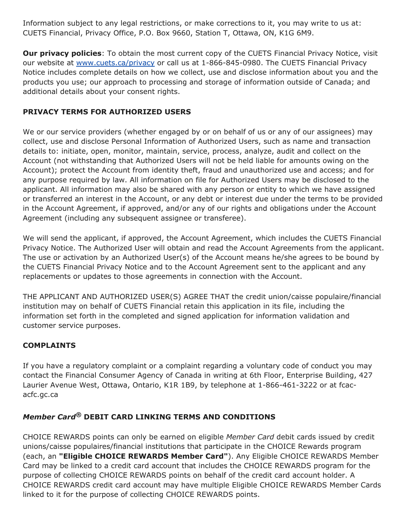Information subject to any legal restrictions, or make corrections to it, you may write to us at: CUETS Financial, Privacy Office, P.O. Box 9660, Station T, Ottawa, ON, K1G 6M9.

**Our privacy policies**: To obtain the most current copy of the CUETS Financial Privacy Notice, visit our website at www.cuets.ca/privacy or call us at 1-866-845-0980. The CUETS Financial Privacy Notice includes complete details on how we collect, use and disclose information about you and the products you use; our approach to processing and storage of information outside of Canada; and additional details about your consent rights.

## **PRIVACY TERMS FOR AUTHORIZED USERS**

We or our service providers (whether engaged by or on behalf of us or any of our assignees) may collect, use and disclose Personal Information of Authorized Users, such as name and transaction details to: initiate, open, monitor, maintain, service, process, analyze, audit and collect on the Account (not withstanding that Authorized Users will not be held liable for amounts owing on the Account); protect the Account from identity theft, fraud and unauthorized use and access; and for any purpose required by law. All information on file for Authorized Users may be disclosed to the applicant. All information may also be shared with any person or entity to which we have assigned or transferred an interest in the Account, or any debt or interest due under the terms to be provided in the Account Agreement, if approved, and/or any of our rights and obligations under the Account Agreement (including any subsequent assignee or transferee).

We will send the applicant, if approved, the Account Agreement, which includes the CUETS Financial Privacy Notice. The Authorized User will obtain and read the Account Agreements from the applicant. The use or activation by an Authorized User(s) of the Account means he/she agrees to be bound by the CUETS Financial Privacy Notice and to the Account Agreement sent to the applicant and any replacements or updates to those agreements in connection with the Account.

THE APPLICANT AND AUTHORIZED USER(S) AGREE THAT the credit union/caisse populaire/financial institution may on behalf of CUETS Financial retain this application in its file, including the information set forth in the completed and signed application for information validation and customer service purposes.

#### **COMPLAINTS**

If you have a regulatory complaint or a complaint regarding a voluntary code of conduct you may contact the Financial Consumer Agency of Canada in writing at 6th Floor, Enterprise Building, 427 Laurier Avenue West, Ottawa, Ontario, K1R 1B9, by telephone at 1-866-461-3222 or at fcacacfc.gc.ca

# *Member Card®* **DEBIT CARD LINKING TERMS AND CONDITIONS**

CHOICE REWARDS points can only be earned on eligible *Member Card* debit cards issued by credit unions/caisse populaires/financial institutions that participate in the CHOICE Rewards program (each, an **"Eligible CHOICE REWARDS Member Card"**). Any Eligible CHOICE REWARDS Member Card may be linked to a credit card account that includes the CHOICE REWARDS program for the purpose of collecting CHOICE REWARDS points on behalf of the credit card account holder. A CHOICE REWARDS credit card account may have multiple Eligible CHOICE REWARDS Member Cards linked to it for the purpose of collecting CHOICE REWARDS points.